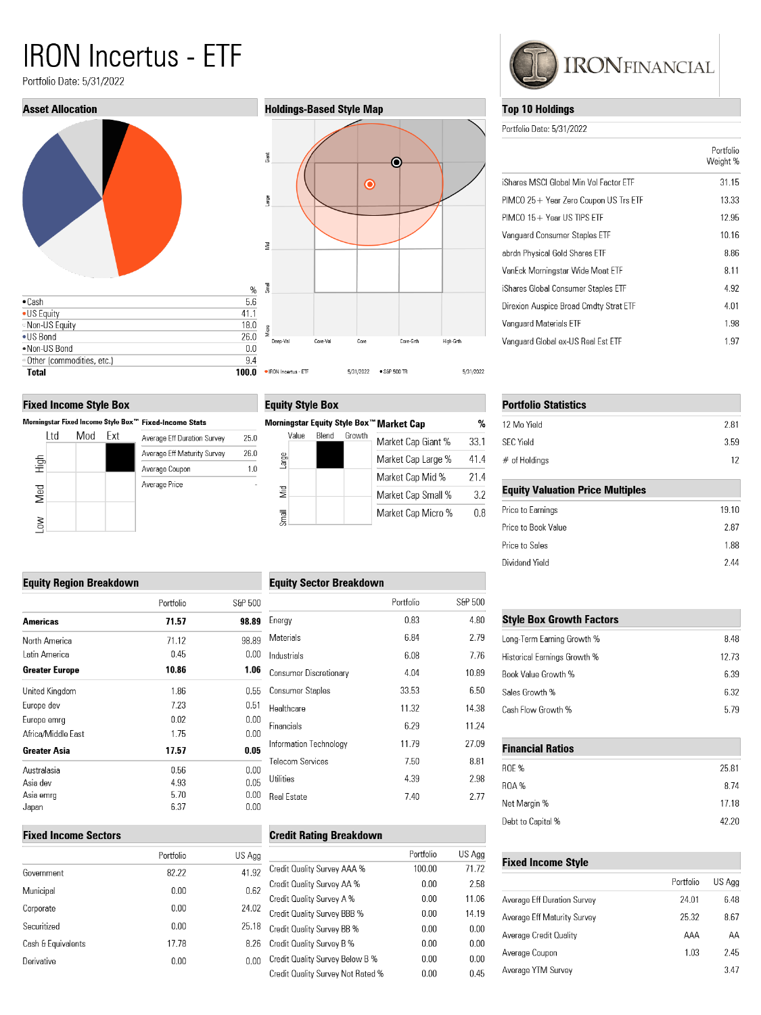# **IRON Incertus - ETF**

Portfolio Date: 5/31/2022



#### **Fixed Income Style Box**

**Equity Region Breakdown** 

Americas North America Latin America **Greater Europe** United Kingdom Europe dev Europe emrg Africa/Middle East **Greater Asia** Australasia Asia dev Asia emrg Japan

| Morningstar Fixed Income Style Box™ Fixed-Income Stats |      |     |     |                             |
|--------------------------------------------------------|------|-----|-----|-----------------------------|
|                                                        | l td | Mod | Fxt | Average Eff Duration Survey |
|                                                        |      |     |     | Average Eff Maturity Survey |
| High                                                   |      |     |     | Average Coupon              |
| Med                                                    |      |     |     | Average Price               |
| Low                                                    |      |     |     |                             |

#### **Holdings-Based Style Map**



## **Equity Style Box**

 $25.0$ 

26.0  $1.0\,$ 

|          |       |        | Morningstar Equity Style Box™ Market Cap | %    |
|----------|-------|--------|------------------------------------------|------|
| Value    | Blend | Growth | Market Cap Giant %                       | 33.1 |
| arge     |       |        | Market Cap Large %                       | 41.4 |
|          |       |        | Market Cap Mid %                         | 21.4 |
| <b>S</b> |       |        | Market Cap Small %                       | 3.2  |
|          |       |        | Market Cap Micro %                       | 08   |

#### **Equity Sector Breakdown**

|                         | S&P 500 | Portfolio |
|-------------------------|---------|-----------|
| Energy                  | 98.89   | 71.57     |
| Materials               | 98.89   | 71.12     |
| Industrials             | 0.00    | 0.45      |
| Consumer Discretionary  | 1.06    | 10.86     |
| Consumer Staples        | 0.55    | 1.86      |
| Healthcare              | 0.51    | 7.23      |
| Financials              | 0.00    | 0.02      |
|                         | 0.00    | 1.75      |
| Information Technology  | 0.05    | 17.57     |
| <b>Telecom Services</b> | 0.00    | 0.56      |
| Utilities               | 0.05    | 4.93      |
| Real Estate             | 0.00    | 5.70      |
|                         | 0.00    | 6.37      |
|                         |         |           |

#### **Fixed Income Sectors**

| Portfolio | US. |
|-----------|-----|
| 82.22     | ł   |
| 0.00      |     |
| 0.00      | :   |
| 0.00      | í   |
| 17.78     |     |
| 0.00      |     |
|           |     |

|                         | Portfolio | S&P 500 |
|-------------------------|-----------|---------|
| Energy                  | 0.83      | 4.80    |
| Materials               | 6.84      | 2.79    |
| Industrials             | 6.08      | 7.76    |
| Consumer Discretionary  | 4.04      | 10.89   |
| <b>Consumer Staples</b> | 33.53     | 6.50    |
| Healthcare              | 11.32     | 14.38   |
| Financials              | 6.29      | 11.24   |
| Information Technology  | 11.79     | 27.09   |
| <b>Telecom Services</b> | 7.50      | 8.81    |
| Utilities               | 4.39      | 2.98    |
| Real Estate             | 7.40      | 2.77    |
|                         |           |         |

## **Credit Rating Breakdown**

| S Agg |                                   | Portfolio | US Agg |
|-------|-----------------------------------|-----------|--------|
| 41.92 | Credit Quality Survey AAA %       | 100.00    | 71.72  |
| 0.62  | Credit Quality Survey AA %        | 0.00      | 2.58   |
|       | Credit Quality Survey A %         | 0.00      | 11.06  |
| 24.02 | Credit Quality Survey BBB %       | 0.00      | 14.19  |
| 25.18 | Credit Quality Survey BB %        | 0.00      | 0.00   |
| 8.26  | Credit Quality Survey B %         | 0.00      | 0.00   |
| 0.00  | Credit Quality Survey Below B %   | 0.00      | 0.00   |
|       | Credit Quality Survey Not Rated % | 0.00      | 0.45   |
|       |                                   |           |        |



### **Top 10 Holdings**

Portfolio Date: 5/31/2022

|                                        | Portfolio<br>Weight % |
|----------------------------------------|-----------------------|
| iShares MSCI Global Min Vol Factor ETF | 31.15                 |
| PIMCO 25+ Year Zero Coupon US Trs ETF  | 13.33                 |
| $PIMCO$ 15 + Year US TIPS FTF          | 12.95                 |
| Vanguard Consumer Staples ETF          | 10.16                 |
| abrdn Physical Gold Shares ETF         | 8.86                  |
| VanEck Morningstar Wide Moat ETF       | 8.11                  |
| iShares Global Consumer Staples ETF    | 4.92                  |
| Direxion Auspice Broad Cmdty Strat ETF | 4.01                  |
| Vanguard Materials ETF                 | 1.98                  |
| Vanguard Global ex-US Real Est ETF     | 1.97                  |

| <b>Portfolio Statistics</b>             |       |  |  |
|-----------------------------------------|-------|--|--|
| 12 Mo Yield                             | 2.81  |  |  |
| <b>SFC Yield</b>                        | 3.59  |  |  |
| $#$ of Holdings                         | 12    |  |  |
| <b>Equity Valuation Price Multiples</b> |       |  |  |
| Price to Earnings                       | 19.10 |  |  |
| Price to Book Value                     | 2.87  |  |  |
| Price to Sales                          | 1.88  |  |  |
| Dividend Yield                          | 2.44  |  |  |

| <b>Style Box Growth Factors</b> |       |  |
|---------------------------------|-------|--|
| Long-Term Earning Growth %      | 8.48  |  |
| Historical Earnings Growth %    | 12.73 |  |
| Book Value Growth %             | 6.39  |  |
| Sales Growth %                  | 6.32  |  |
| Cash Flow Growth %              | 579   |  |

| <b>Financial Ratios</b> |       |  |
|-------------------------|-------|--|
| <b>ROE %</b>            | 25.81 |  |
| <b>ROA%</b>             | 8.74  |  |
| Net Margin %            | 17.18 |  |
| Debt to Capital %       | 42.20 |  |

#### **Fixed Income Style**

|                             | Portfolio | US Agg |
|-----------------------------|-----------|--------|
| Average Eff Duration Survey | 24.01     | 6.48   |
| Average Eff Maturity Survey | 25.32     | 8.67   |
| Average Credit Quality      | AAA       | AΑ     |
| Average Coupon              | 1.03      | 2.45   |
| Average YTM Survey          |           | 3.47   |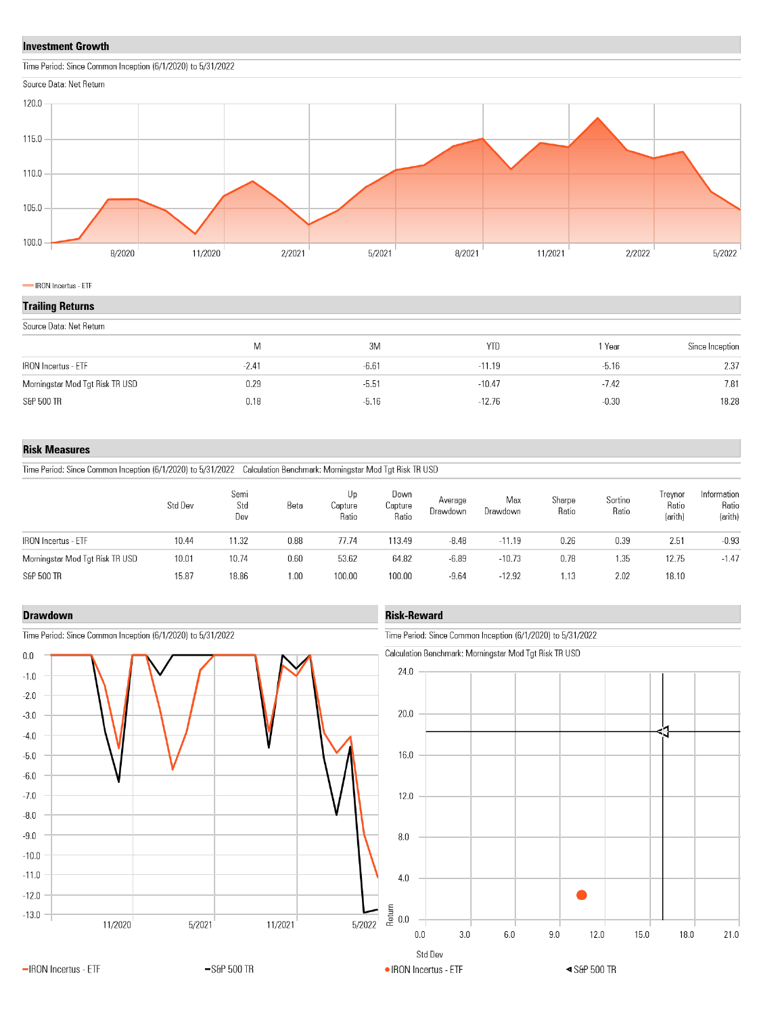#### **Investment Growth**





IRON Incertus - ETF

#### **Trailing Returns**

| Source Data: Net Return         |         |         |            |         |                 |
|---------------------------------|---------|---------|------------|---------|-----------------|
|                                 | M       | 3M      | <b>YTD</b> | Year    | Since Inception |
| <b>IRON</b> Incertus - ETF      | $-2.41$ | $-6.61$ | $-11.19$   | $-5.16$ | 2.37            |
| Morningstar Mod Tgt Risk TR USD | 0.29    | $-5.51$ | $-10.47$   | $-7.42$ | 7.81            |
| S&P 500 TR                      | 0.18    | $-5.16$ | $-12.76$   | $-0.30$ | 18.28           |

#### **Risk Measures**

Time Period: Since Common Inception (6/1/2020) to 5/31/2022 Calculation Benchmark: Morningstar Mod Tgt Risk TR USD

|                                 | Std Dev | Semi<br>Std<br>Dev | Beta | Up<br>Capture<br>Ratio | Down<br>Capture<br>Ratio | Average<br>Drawdown | Max<br>Drawdown | Sharpe<br>Ratio | Sortino<br>Ratio | Irevnor<br>Ratio<br>(arith) | Information<br>Ratio<br>(arith) |
|---------------------------------|---------|--------------------|------|------------------------|--------------------------|---------------------|-----------------|-----------------|------------------|-----------------------------|---------------------------------|
| <b>IRON</b> Incertus - ETF      | 10.44   | 11.32              | 0.88 | 77.74                  | 113.49                   | $-8.48$             | $-11.19$        | 0.26            | 0.39             | 2.51                        | $-0.93$                         |
| Morningstar Mod Tgt Risk TR USD | 10.01   | 10.74              | 0.60 | 53.62                  | 64.82                    | $-6.89$             | $-10.73$        | 0.78            | 1.35             | 12.75                       | $-1.47$                         |
| S&P 500 TR                      | 15.87   | 18.86              | 1.00 | 100.00                 | 100.00                   | $-9.64$             | $-12.92$        | 1.13            | 2.02             | 18.10                       |                                 |

#### **Drawdown**



#### Time Period: Since Common Inception (6/1/2020) to 5/31/2022

## **Risk-Reward**

Time Period: Since Common Inception (6/1/2020) to 5/31/2022

Calculation Benchmark: Morningstar Mod Tgt Risk TR USD

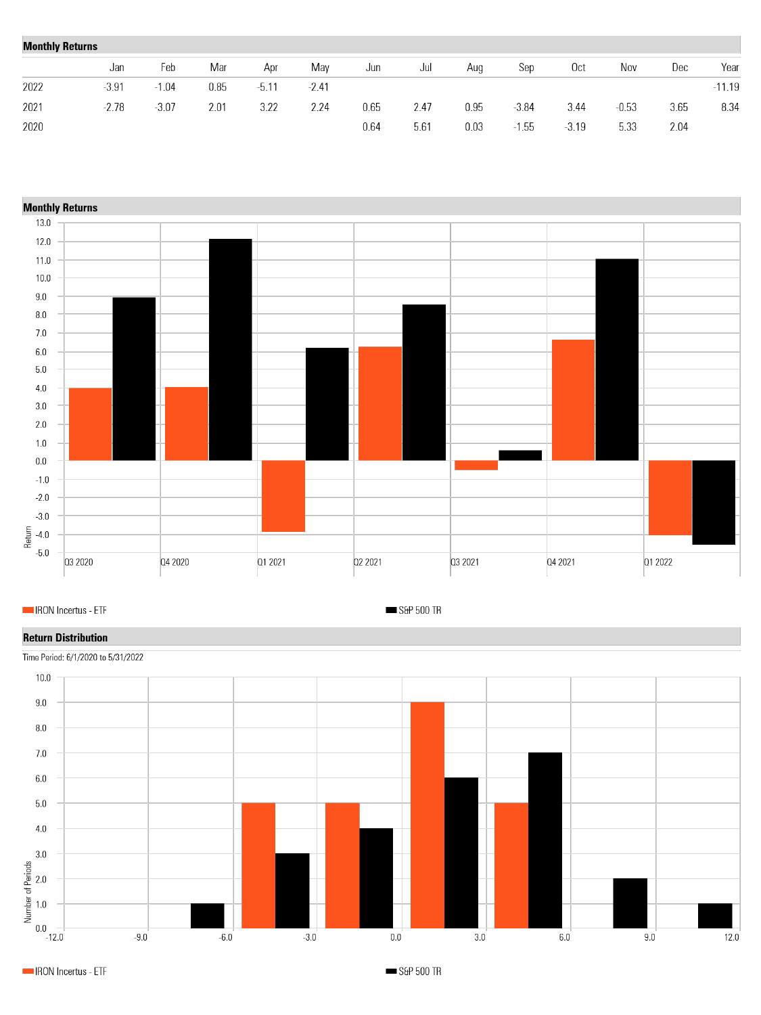| <b>Monthly Returns</b> |         |         |      |         |         |      |      |      |         |                 |         |      |          |
|------------------------|---------|---------|------|---------|---------|------|------|------|---------|-----------------|---------|------|----------|
|                        | Jan     | Feb     | Mar  | Apr     | May     | Jun  | Jul  | Aug  | Sep     | 0 <sub>ct</sub> | Nov     | Dec  | Year     |
| 2022                   | $-3.91$ | $-1.04$ | 0.85 | $-5.11$ | $-2.41$ |      |      |      |         |                 |         |      | $-11.19$ |
| 2021                   | $-2.78$ | $-3.07$ | 2.01 | 3.22    | 2.24    | 0.65 | 2.47 | 0.95 | $-3.84$ | 3.44            | $-0.53$ | 3.65 | 8.34     |
| 2020                   |         |         |      |         |         | 0.64 | 5.61 | 0.03 | . 55    | $-3.19$         | 5.33    | 2.04 |          |



IRON Incertus - ETF

S&P 500 TR

## **Return Distribution**



IRON Incertus - ETF